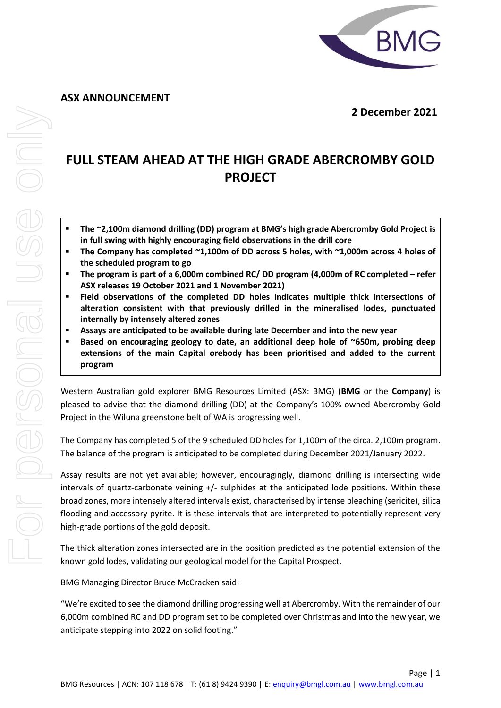**ASX ANNOUNCEMENT**



 **2 December 2021**

# **FULL STEAM AHEAD AT THE HIGH GRADE ABERCROMBY GOLD PROJECT**

- **The ~2,100m diamond drilling (DD) program at BMG's high grade Abercromby Gold Project is in full swing with highly encouraging field observations in the drill core**
- **The Company has completed ~1,100m of DD across 5 holes, with ~1,000m across 4 holes of the scheduled program to go**
- **The program is part of a 6,000m combined RC/ DD program (4,000m of RC completed – refer ASX releases 19 October 2021 and 1 November 2021)**
- Field observations of the completed DD holes indicates multiple thick intersections of **alteration consistent with that previously drilled in the mineralised lodes, punctuated internally by intensely altered zones**
- **Assays are anticipated to be available during late December and into the new year**
- **Based on encouraging geology to date, an additional deep hole of ~650m, probing deep extensions of the main Capital orebody has been prioritised and added to the current program**

Western Australian gold explorer BMG Resources Limited (ASX: BMG) (**BMG** or the **Company**) is pleased to advise that the diamond drilling (DD) at the Company's 100% owned Abercromby Gold Project in the Wiluna greenstone belt of WA is progressing well.

The Company has completed 5 of the 9 scheduled DD holes for 1,100m of the circa. 2,100m program. The balance of the program is anticipated to be completed during December 2021/January 2022.

Assay results are not yet available; however, encouragingly, diamond drilling is intersecting wide intervals of quartz-carbonate veining +/- sulphides at the anticipated lode positions. Within these broad zones, more intensely altered intervals exist, characterised by intense bleaching (sericite), silica flooding and accessory pyrite. It is these intervals that are interpreted to potentially represent very high-grade portions of the gold deposit.

The thick alteration zones intersected are in the position predicted as the potential extension of the known gold lodes, validating our geological model for the Capital Prospect.

BMG Managing Director Bruce McCracken said:

"We're excited to see the diamond drilling progressing well at Abercromby. With the remainder of our 6,000m combined RC and DD program set to be completed over Christmas and into the new year, we anticipate stepping into 2022 on solid footing."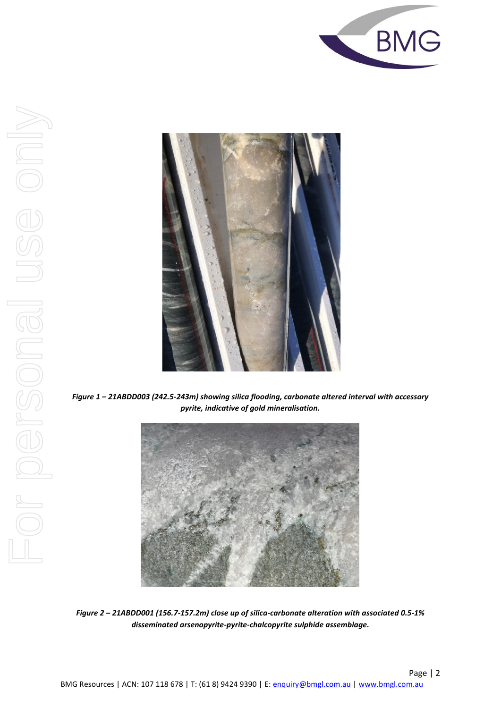



*Figure 1 – 21ABDD003 (242.5-243m) showing silica flooding, carbonate altered interval with accessory pyrite, indicative of gold mineralisation.*



*Figure 2 – 21ABDD001 (156.7-157.2m) close up of silica-carbonate alteration with associated 0.5-1% disseminated arsenopyrite-pyrite-chalcopyrite sulphide assemblage.*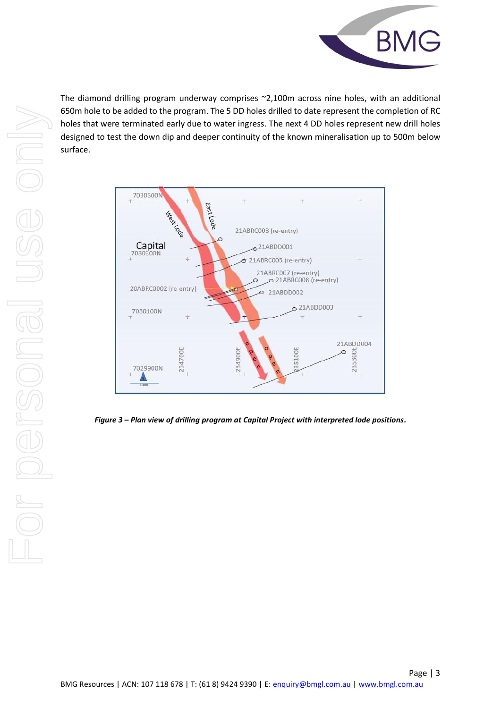

The diamond drilling program underway comprises ~2,100m across nine holes, with an additional 650m hole to be added to the program. The 5 DD holes drilled to date represent the completion of RC holes that were terminated early due to water ingress. The next 4 DD holes represent new drill holes designed to test the down dip and deeper continuity of the known mineralisation up to 500m below surface.



*Figure 3 – Plan view of drilling program at Capital Project with interpreted lode positions.*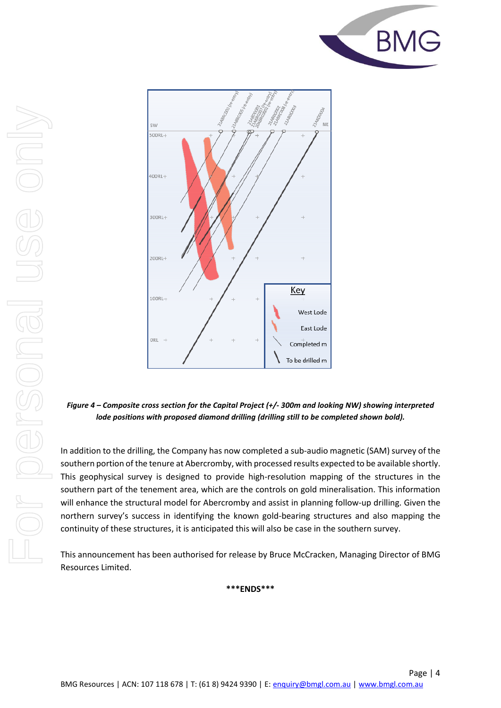



*Figure 4 – Composite cross section for the Capital Project (+/- 300m and looking NW) showing interpreted lode positions with proposed diamond drilling (drilling still to be completed shown bold).*

In addition to the drilling, the Company has now completed a sub-audio magnetic (SAM) survey of the southern portion of the tenure at Abercromby, with processed results expected to be available shortly. This geophysical survey is designed to provide high-resolution mapping of the structures in the southern part of the tenement area, which are the controls on gold mineralisation. This information will enhance the structural model for Abercromby and assist in planning follow-up drilling. Given the northern survey's success in identifying the known gold-bearing structures and also mapping the continuity of these structures, it is anticipated this will also be case in the southern survey.

This announcement has been authorised for release by Bruce McCracken, Managing Director of BMG Resources Limited.

**\*\*\*ENDS\*\*\***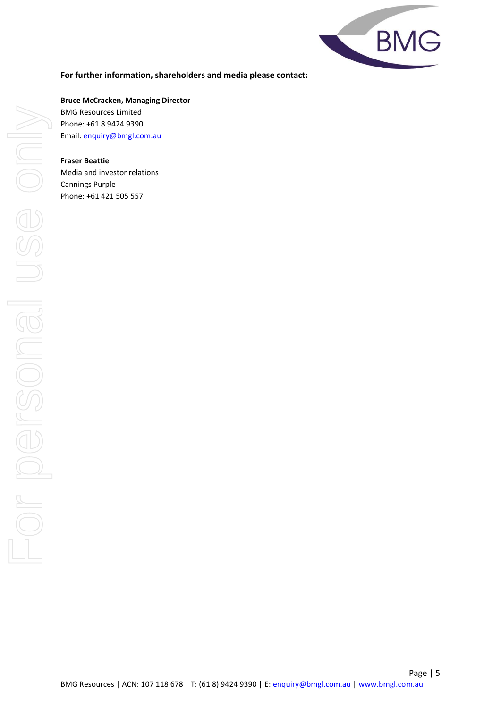

## **For further information, shareholders and media please contact:**

**Bruce McCracken, Managing Director** BMG Resources Limited Phone: +61 8 9424 9390 Email: [enquiry@bmgl.com.au](mailto:enquiry@bmgl.com.au)

#### **Fraser Beattie**

Media and investor relations Cannings Purple Phone: **+**61 421 505 557